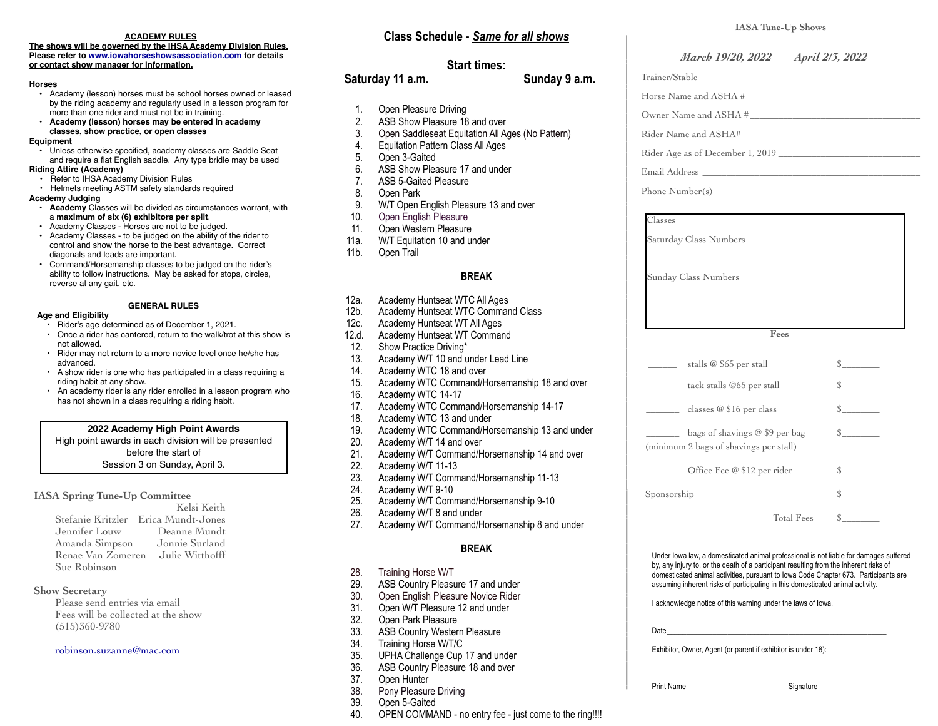# **ACADEMY RULES**

**The shows will be governed by the IHSA Academy Division Rules. Please refer to [www.iowahorseshowsassociation.com](http://www.iowahorseshowsassociation.com) for details or contact show manager for information.** 

## **Horses**

- Academy (lesson) horses must be school horses owned or leased by the riding academy and regularly used in a lesson program for more than one rider and must not be in training.
- **Academy (lesson) horses may be entered in academy classes, show practice, or open classes**

# **Equipment**

• Unless otherwise specified, academy classes are Saddle Seat and require a flat English saddle. Any type bridle may be used

# **Riding Attire (Academy)**

- Refer to IHSA Academy Division Rules • Helmets meeting ASTM safety standards required
- 

# **Academy Judging**

- **Academy** Classes will be divided as circumstances warrant, with a **maximum of six (6) exhibitors per split**.
- Academy Classes Horses are not to be judged.
- Academy Classes to be judged on the ability of the rider to control and show the horse to the best advantage. Correct diagonals and leads are important.
- Command/Horsemanship classes to be judged on the rider's ability to follow instructions. May be asked for stops, circles, reverse at any gait, etc.

# **GENERAL RULES**

# **Age and Eligibility**

- Rider's age determined as of December 1, 2021.
- Once a rider has cantered, return to the walk/trot at this show is not allowed.
- Rider may not return to a more novice level once he/she has advanced.
- A show rider is one who has participated in a class requiring a riding habit at any show.
- An academy rider is any rider enrolled in a lesson program who has not shown in a class requiring a riding habit.

# **2022 Academy High Point Awards**

High point awards in each division will be presented before the start of Session 3 on Sunday, April 3.

# **IASA Spring Tune-Up Committee**

|                   | Kelsi Keith                         |
|-------------------|-------------------------------------|
|                   | Stefanie Kritzler Erica Mundt-Jones |
| Jennifer Louw     | Deanne Mundt                        |
| Amanda Simpson    | Jonnie Surland                      |
| Renae Van Zomeren | Julie Witthofff                     |
| Sue Robinson      |                                     |

# **Show Secretary**

Please send entries via email Fees will be collected at the show (515)360-9780

# [robinson.suzanne@mac.com](mailto:robinson.suzanne@mac.com)

# **Class Schedule -** *Same for all shows*

# **Start times:**

# **Saturday 11 a.m. Sunday 9 a.m.**

- 1. Open Pleasure Driving
- 2. ASB Show Pleasure 18 and over
- 3. Open Saddleseat Equitation All Ages (No Pattern)
- 4. Equitation Pattern Class All Ages
- 5. Open 3-Gaited
- 6. ASB Show Pleasure 17 and under<br>7. ASB 5-Gaited Pleasure
- ASB 5-Gaited Pleasure
- 8. Open Park
- 9. W/T Open English Pleasure 13 and over
- 10. Open English Pleasure
- 11. Open Western Pleasure
- 11a. W/T Equitation 10 and under
- 11b. Open Trail

# **BREAK**

- 12a. Academy Huntseat WTC All Ages
- 12b. Academy Huntseat WTC Command Class
- 12c. Academy Huntseat WT All Ages
- 12.d. Academy Huntseat WT Command
- 12. Show Practice Driving\*
- 13. Academy W/T 10 and under Lead Line
- 14. Academy WTC 18 and over
- 15. Academy WTC Command/Horsemanship 18 and over
- 16. Academy WTC 14-17
- 17. Academy WTC Command/Horsemanship 14-17
- 18. Academy WTC 13 and under
- 19. Academy WTC Command/Horsemanship 13 and under
- 20. Academy W/T 14 and over
- 21. Academy W/T Command/Horsemanship 14 and over<br>22. Academy W/T 11-13
- 22. Academy W/T 11-13<br>23. Academy W/T Comm
- 23. Academy W/T Command/Horsemanship 11-13
- 24. Academy W/T 9-10
- 25. Academy W/T Command/Horsemanship 9-10<br>26. Academy W/T 8 and under
- Academy W/T 8 and under
- 27. Academy W/T Command/Horsemanship 8 and under

# **BREAK**

- 28. Training Horse W/T
- 29. ASB Country Pleasure 17 and under
- 30. Open English Pleasure Novice Rider
- 31. Open W/T Pleasure 12 and under
- 32. Open Park Pleasure
- 33. ASB Country Western Pleasure<br>34. Training Horse W/T/C
- Training Horse W/T/C
- 35. UPHA Challenge Cup 17 and under
- 36. ASB Country Pleasure 18 and over<br>37. Open Hunter
- 37. Open Hunter<br>38. Pony Pleasur
- Pony Pleasure Driving
- 39. Open 5-Gaited
- 40. OPEN COMMAND no entry fee just come to the ring!!!!

|                                                 | March 19/20, 2022 April 2/3, 2022 |
|-------------------------------------------------|-----------------------------------|
|                                                 |                                   |
| Horse Name and ASHA #                           |                                   |
| Owner Name and ASHA #                           |                                   |
| Rider Name and ASHA#                            |                                   |
| Rider Age as of December 1, 2019                |                                   |
|                                                 |                                   |
|                                                 |                                   |
|                                                 |                                   |
| Classes                                         |                                   |
| Saturday Class Numbers                          |                                   |
| $\overline{a}$ . The contract of $\overline{a}$ |                                   |
| Sunday Class Numbers                            |                                   |
|                                                 |                                   |
|                                                 |                                   |
|                                                 |                                   |
| Fees                                            |                                   |
| stalls @ \$65 per stall                         | $\sim$                            |
| tack stalls @65 per stall                       | $\mathbb{S}$ and $\mathbb{S}$     |
| classes $@$16$ per class                        | s                                 |
| bags of shavings @ \$9 per bag                  | $\mathbb{S}$                      |
| (minimum 2 bags of shavings per stall)          |                                   |
| Office Fee @ \$12 per rider                     | $\mathbb{S}$                      |
| Sponsorship                                     | s                                 |

Under Iowa law, a domesticated animal professional is not liable for damages suffered by, any injury to, or the death of a participant resulting from the inherent risks of domesticated animal activities, pursuant to Iowa Code Chapter 673. Participants are assuming inherent risks of participating in this domesticated animal activity.

I acknowledge notice of this warning under the laws of Iowa.

Date\_\_\_\_\_\_\_\_\_\_\_\_\_\_\_\_\_\_\_\_\_\_\_\_\_\_\_\_\_\_\_\_\_\_\_\_\_\_\_\_\_\_\_\_\_\_\_\_\_\_\_\_\_\_\_\_\_\_

Exhibitor, Owner, Agent (or parent if exhibitor is under 18):

\_\_\_\_\_\_\_\_\_\_\_\_\_\_\_\_\_\_\_\_\_\_\_\_\_\_\_\_\_\_\_\_\_\_\_\_\_\_\_\_\_\_\_\_\_\_\_\_\_\_\_\_\_\_\_\_\_\_\_\_\_\_ Print Name Signature

**IASA Tune-Up Shows**